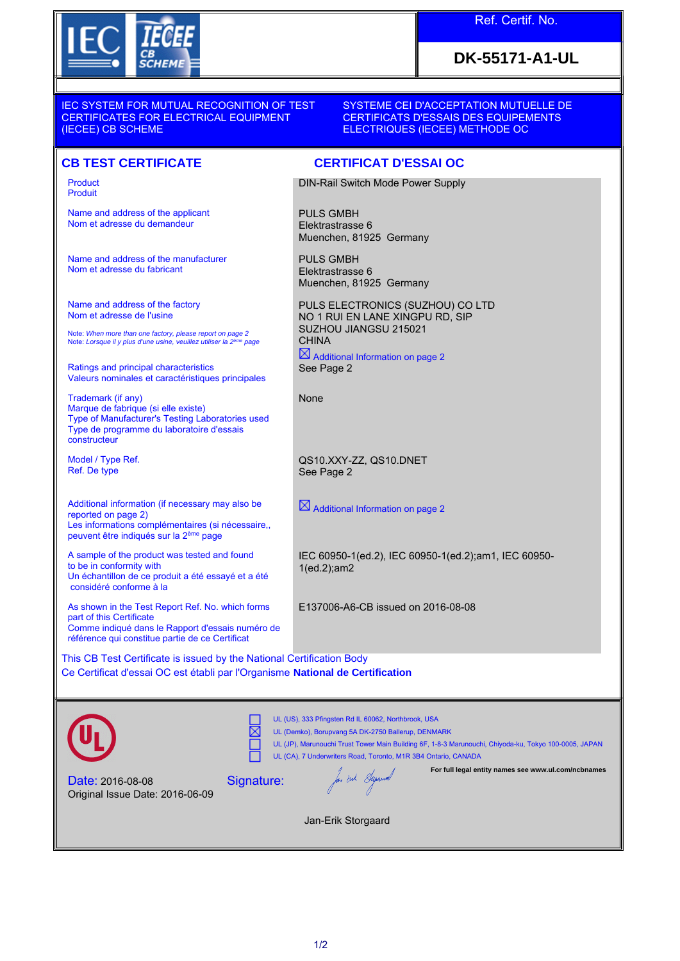

## Ref. Certif. No.

## **DK-55171-A1-UL**

IEC SYSTEM FOR MUTUAL RECOGNITION OF TEST CERTIFICATES FOR ELECTRICAL EQUIPMENT (IECEE) CB SCHEME

SYSTEME CEI D'ACCEPTATION MUTUELLE DE CERTIFICATS D'ESSAIS DES EQUIPEMENTS ELECTRIQUES (IECEE) METHODE OC

## **CB TEST CERTIFICATE CERTIFICAT D'ESSAI OC**

Product Produit

Name and address of the applicant Nom et adresse du demandeur

Name and address of the manufacturer Nom et adresse du fabricant

Name and address of the factory Nom et adresse de l'usine

Note: *When more than one factory, please report on page 2*<br>Note: *Lorsque il y plus d'une usine, veuillez utiliser la 2<sup>ème</sup> page* 

Ratings and principal characteristics Valeurs nominales et caractéristiques principales

Trademark (if any) Marque de fabrique (si elle existe) Type of Manufacturer's Testing Laboratories used Type de programme du laboratoire d'essais constructeur

Model / Type Ref. Ref. De type

Additional information (if necessary may also be reported on page 2) Les informations complémentaires (si nécessaire,, peuvent être indiqués sur la 2ème page

A sample of the product was tested and found to be in conformity with Un échantillon de ce produit a été essayé et a été considéré conforme à la

As shown in the Test Report Ref. No. which forms part of this Certificate Comme indiqué dans le Rapport d'essais numéro de référence qui constitue partie de ce Certificat

DIN-Rail Switch Mode Power Supply

PULS GMBH Elektrastrasse 6 Muenchen, 81925 Germany

PULS GMBH Elektrastrasse 6 Muenchen, 81925 Germany

PULS ELECTRONICS (SUZHOU) CO LTD NO 1 RUI EN LANE XINGPU RD, SIP SUZHOU JIANGSU 215021 **CHINA**  $\boxtimes$  Additional Information on page 2

See Page 2

None

QS10.XXY-ZZ, QS10.DNET See Page 2

 $\boxtimes$  Additional Information on page 2

IEC 60950-1(ed.2), IEC 60950-1(ed.2);am1, IEC 60950- 1(ed.2);am2

E137006-A6-CB issued on 2016-08-08

This CB Test Certificate is issued by the National Certification Body Ce Certificat d'essai OC est établi par l'Organisme **National de Certification**